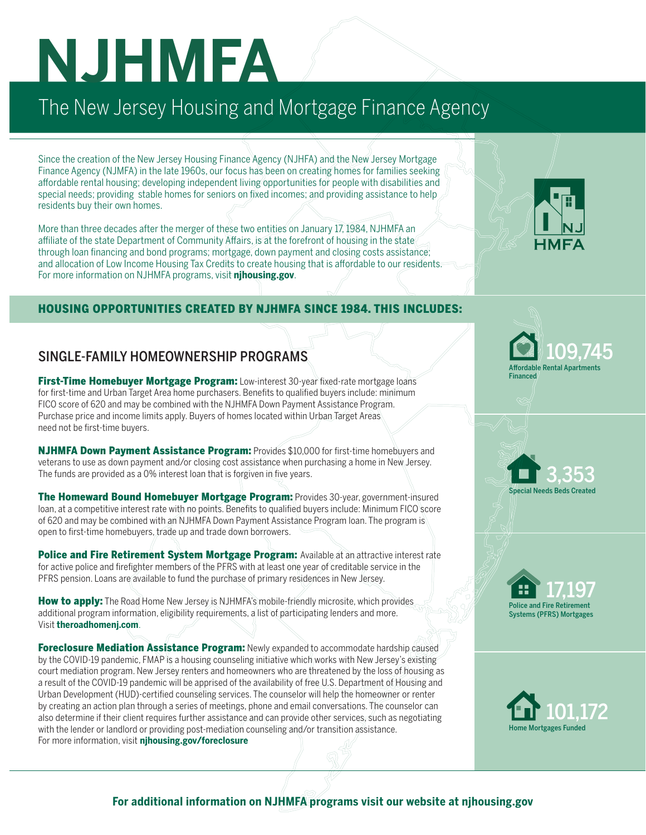# **NJHMFA**

## The New Jersey Housing and Mortgage Finance Agency

Since the creation of the New Jersey Housing Finance Agency (NJHFA) and the New Jersey Mortgage Finance Agency (NJMFA) in the late 1960s, our focus has been on creating homes for families seeking affordable rental housing; developing independent living opportunities for people with disabilities and special needs; providing stable homes for seniors on fixed incomes; and providing assistance to help residents buy their own homes.

More than three decades after the merger of these two entities on January 17, 1984, NJHMFA an affiliate of the state Department of Community Affairs, is at the forefront of housing in the state through loan financing and bond programs; mortgage, down payment and closing costs assistance; and allocation of Low Income Housing Tax Credits to create housing that is affordable to our residents. For more information on NJHMFA programs, visit **njhousing.gov**.

#### HOUSING OPPORTUNITIES CREATED BY NJHMFA SINCE 1984. THIS INCLUDES:

#### SINGLE-FAMILY HOMEOWNERSHIP PROGRAMS

First-Time Homebuyer Mortgage Program: Low-interest 30-year fixed-rate mortgage loans for first-time and Urban Target Area home purchasers. Benefits to qualified buyers include: minimum FICO score of 620 and may be combined with the NJHMFA Down Payment Assistance Program. Purchase price and income limits apply. Buyers of homes located within Urban Target Areas need not be first-time buyers.

NJHMFA Down Payment Assistance Program: Provides \$10,000 for first-time homebuyers and veterans to use as down payment and/or closing cost assistance when purchasing a home in New Jersey. The funds are provided as a 0% interest loan that is forgiven in five years.

The Homeward Bound Homebuyer Mortgage Program: Provides 30-year, government-insured loan, at a competitive interest rate with no points. Benefits to qualified buyers include: Minimum FICO score of 620 and may be combined with an NJHMFA Down Payment Assistance Program loan. The program is open to first-time homebuyers, trade up and trade down borrowers.

Police and Fire Retirement System Mortgage Program: Available at an attractive interest rate for active police and firefighter members of the PFRS with at least one year of creditable service in the PFRS pension. Loans are available to fund the purchase of primary residences in New Jersey.

How to apply: The Road Home New Jersey is NJHMFA's mobile-friendly microsite, which provides additional program information, eligibility requirements, a list of participating lenders and more. Visit **theroadhomenj.com**.

Foreclosure Mediation Assistance Program: Newly expanded to accommodate hardship caused by the COVID-19 pandemic, FMAP is a housing counseling initiative which works with New Jersey's existing court mediation program. New Jersey renters and homeowners who are threatened by the loss of housing as a result of the COVID-19 pandemic will be apprised of the availability of free U.S. Department of Housing and Urban Development (HUD)-certified counseling services. The counselor will help the homeowner or renter by creating an action plan through a series of meetings, phone and email conversations. The counselor can also determine if their client requires further assistance and can provide other services, such as negotiating with the lender or landlord or providing post-mediation counseling and/or transition assistance. For more information, visit **njhousing.gov/foreclosure**





Special Needs Beds Created

3,353

Police and Fire Retirement Systems (PFRS) Mortgages 17,197